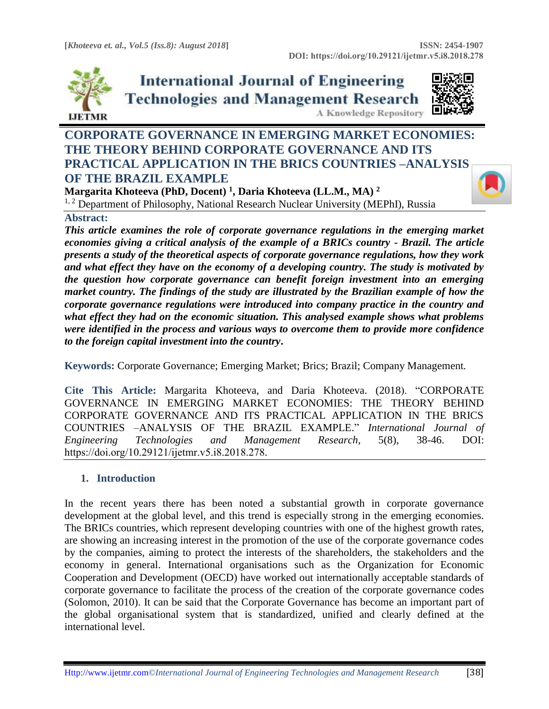

**International Journal of Engineering Technologies and Management Research** A Knowledge Repository



# **CORPORATE GOVERNANCE IN EMERGING MARKET ECONOMIES: THE THEORY BEHIND CORPORATE GOVERNANCE AND ITS PRACTICAL APPLICATION IN THE BRICS COUNTRIES –ANALYSIS OF THE BRAZIL EXAMPLE**

**Margarita Khoteeva (PhD, Docent) <sup>1</sup> , Daria Khoteeva (LL.M., MA) <sup>2</sup>** <sup>1, 2</sup> Department of Philosophy, National Research Nuclear University (MEPhI), Russia

# **Abstract:**

*This article examines the role of corporate governance regulations in the emerging market economies giving a critical analysis of the example of a BRICs country - Brazil. The article presents a study of the theoretical aspects of corporate governance regulations, how they work and what effect they have on the economy of a developing country. The study is motivated by the question how corporate governance can benefit foreign investment into an emerging market country. The findings of the study are illustrated by the Brazilian example of how the corporate governance regulations were introduced into company practice in the country and what effect they had on the economic situation. This analysed example shows what problems were identified in the process and various ways to overcome them to provide more confidence to the foreign capital investment into the country***.**

**Keywords:** Corporate Governance; Emerging Market; Brics; Brazil; Company Management*.* 

**Cite This Article:** Margarita Khoteeva, and Daria Khoteeva. (2018). "CORPORATE GOVERNANCE IN EMERGING MARKET ECONOMIES: THE THEORY BEHIND CORPORATE GOVERNANCE AND ITS PRACTICAL APPLICATION IN THE BRICS COUNTRIES –ANALYSIS OF THE BRAZIL EXAMPLE." *International Journal of Engineering Technologies and Management Research,* 5(8), 38-46. DOI: https://doi.org/10.29121/ijetmr.v5.i8.2018.278.

# **1. Introduction**

In the recent years there has been noted a substantial growth in corporate governance development at the global level, and this trend is especially strong in the emerging economies. The BRICs countries, which represent developing countries with one of the highest growth rates, are showing an increasing interest in the promotion of the use of the corporate governance codes by the companies, aiming to protect the interests of the shareholders, the stakeholders and the economy in general. International organisations such as the Organization for Economic Cooperation and Development (OECD) have worked out internationally acceptable standards of corporate governance to facilitate the process of the creation of the corporate governance codes (Solomon, 2010). It can be said that the Corporate Governance has become an important part of the global organisational system that is standardized, unified and clearly defined at the international level.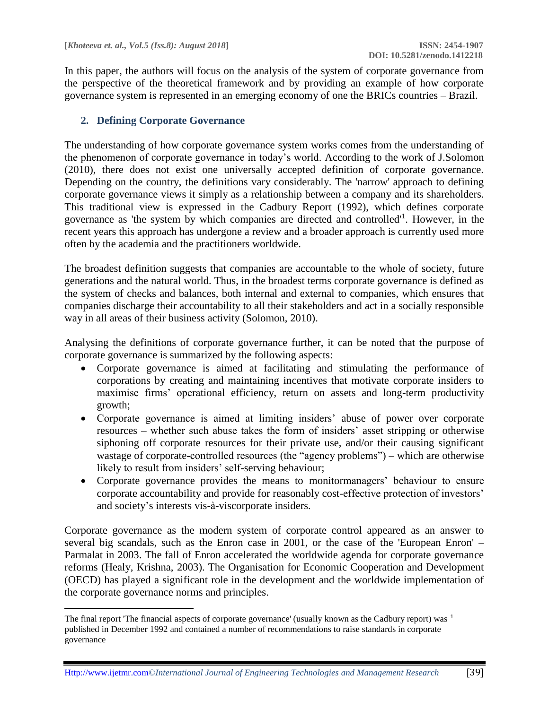$\overline{\phantom{a}}$ 

In this paper, the authors will focus on the analysis of the system of corporate governance from the perspective of the theoretical framework and by providing an example of how corporate governance system is represented in an emerging economy of one the BRICs countries – Brazil.

# **2. Defining Corporate Governance**

The understanding of how corporate governance system works comes from the understanding of the phenomenon of corporate governance in today's world. According to the work of J.Solomon (2010), there does not exist one universally accepted definition of corporate governance. Depending on the country, the definitions vary considerably. The 'narrow' approach to defining corporate governance views it simply as a relationship between a company and its shareholders. This traditional view is expressed in the Cadbury Report (1992), which defines corporate governance as 'the system by which companies are directed and controlled'<sup>1</sup> . However, in the recent years this approach has undergone a review and a broader approach is currently used more often by the academia and the practitioners worldwide.

The broadest definition suggests that companies are accountable to the whole of society, future generations and the natural world. Thus, in the broadest terms corporate governance is defined as the system of checks and balances, both internal and external to companies, which ensures that companies discharge their accountability to all their stakeholders and act in a socially responsible way in all areas of their business activity (Solomon, 2010).

Analysing the definitions of corporate governance further, it can be noted that the purpose of corporate governance is summarized by the following aspects:

- Corporate governance is aimed at facilitating and stimulating the performance of corporations by creating and maintaining incentives that motivate corporate insiders to maximise firms' operational efficiency, return on assets and long-term productivity growth;
- Corporate governance is aimed at limiting insiders' abuse of power over corporate resources – whether such abuse takes the form of insiders' asset stripping or otherwise siphoning off corporate resources for their private use, and/or their causing significant wastage of corporate-controlled resources (the "agency problems") – which are otherwise likely to result from insiders' self-serving behaviour;
- Corporate governance provides the means to monitormanagers' behaviour to ensure corporate accountability and provide for reasonably cost-effective protection of investors' and society's interests vis-à-viscorporate insiders.

Corporate governance as the modern system of corporate control appeared as an answer to several big scandals, such as the Enron case in 2001, or the case of the 'European Enron' – Parmalat in 2003. The fall of Enron accelerated the worldwide agenda for corporate governance reforms (Healy, Krishna, 2003). The Organisation for Economic Cooperation and Development (OECD) has played a significant role in the development and the worldwide implementation of the corporate governance norms and principles.

The final report 'The financial aspects of corporate governance' (usually known as the Cadbury report) was <sup>1</sup> published in December 1992 and contained a number of recommendations to raise standards in corporate governance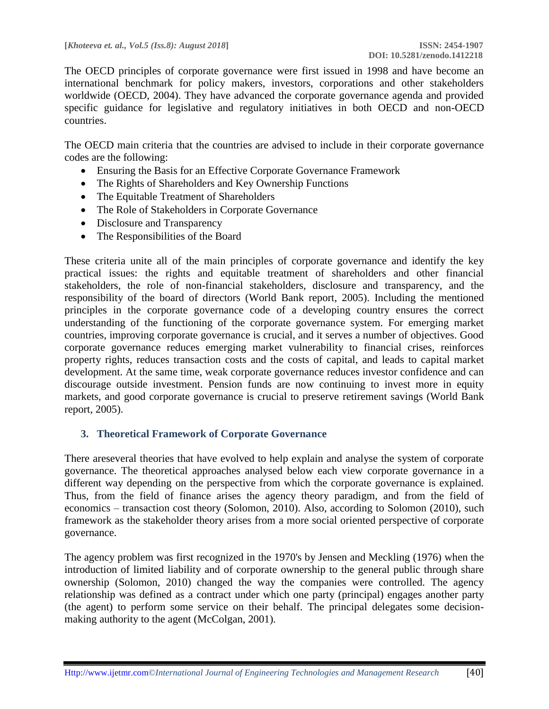The OECD principles of corporate governance were first issued in 1998 and have become an international benchmark for policy makers, investors, corporations and other stakeholders worldwide (OECD, 2004). They have advanced the corporate governance agenda and provided specific guidance for legislative and regulatory initiatives in both OECD and non-OECD countries.

The OECD main criteria that the countries are advised to include in their corporate governance codes are the following:

- Ensuring the Basis for an Effective Corporate Governance Framework
- The Rights of Shareholders and Key Ownership Functions
- The Equitable Treatment of Shareholders
- The Role of Stakeholders in Corporate Governance
- Disclosure and Transparency
- The Responsibilities of the Board

These criteria unite all of the main principles of corporate governance and identify the key practical issues: the rights and equitable treatment of shareholders and other financial stakeholders, the role of non-financial stakeholders, disclosure and transparency, and the responsibility of the board of directors (World Bank report, 2005). Including the mentioned principles in the corporate governance code of a developing country ensures the correct understanding of the functioning of the corporate governance system. For emerging market countries, improving corporate governance is crucial, and it serves a number of objectives. Good corporate governance reduces emerging market vulnerability to financial crises, reinforces property rights, reduces transaction costs and the costs of capital, and leads to capital market development. At the same time, weak corporate governance reduces investor confidence and can discourage outside investment. Pension funds are now continuing to invest more in equity markets, and good corporate governance is crucial to preserve retirement savings (World Bank report, 2005).

#### **3. Theoretical Framework of Corporate Governance**

There areseveral theories that have evolved to help explain and analyse the system of corporate governance. The theoretical approaches analysed below each view corporate governance in a different way depending on the perspective from which the corporate governance is explained. Thus, from the field of finance arises the agency theory paradigm, and from the field of economics – transaction cost theory (Solomon, 2010). Also, according to Solomon (2010), such framework as the stakeholder theory arises from a more social oriented perspective of corporate governance.

The agency problem was first recognized in the 1970's by Jensen and Meckling (1976) when the introduction of limited liability and of corporate ownership to the general public through share ownership (Solomon, 2010) changed the way the companies were controlled. The agency relationship was defined as a contract under which one party (principal) engages another party (the agent) to perform some service on their behalf. The principal delegates some decisionmaking authority to the agent (McColgan, 2001).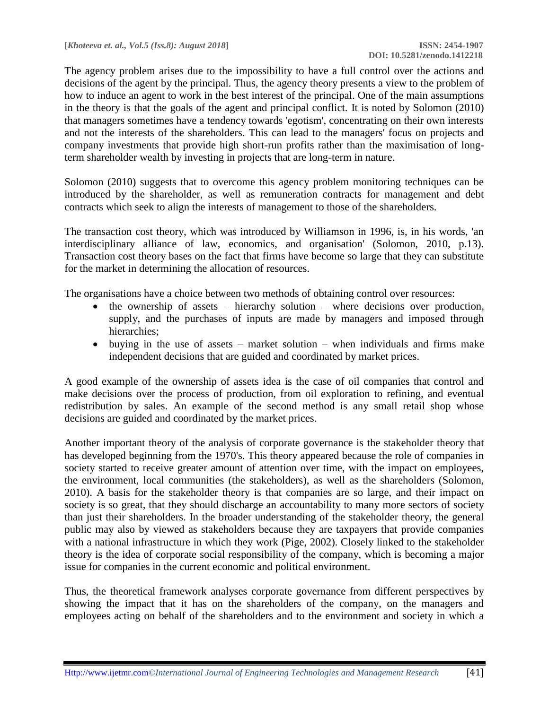The agency problem arises due to the impossibility to have a full control over the actions and decisions of the agent by the principal. Thus, the agency theory presents a view to the problem of how to induce an agent to work in the best interest of the principal. One of the main assumptions in the theory is that the goals of the agent and principal conflict. It is noted by Solomon (2010) that managers sometimes have a tendency towards 'egotism', concentrating on their own interests and not the interests of the shareholders. This can lead to the managers' focus on projects and company investments that provide high short-run profits rather than the maximisation of longterm shareholder wealth by investing in projects that are long-term in nature.

Solomon (2010) suggests that to overcome this agency problem monitoring techniques can be introduced by the shareholder, as well as remuneration contracts for management and debt contracts which seek to align the interests of management to those of the shareholders.

The transaction cost theory, which was introduced by Williamson in 1996, is, in his words, 'an interdisciplinary alliance of law, economics, and organisation' (Solomon, 2010, p.13). Transaction cost theory bases on the fact that firms have become so large that they can substitute for the market in determining the allocation of resources.

The organisations have a choice between two methods of obtaining control over resources:

- the ownership of assets hierarchy solution where decisions over production, supply, and the purchases of inputs are made by managers and imposed through hierarchies;
- buying in the use of assets market solution when individuals and firms make independent decisions that are guided and coordinated by market prices.

A good example of the ownership of assets idea is the case of oil companies that control and make decisions over the process of production, from oil exploration to refining, and eventual redistribution by sales. An example of the second method is any small retail shop whose decisions are guided and coordinated by the market prices.

Another important theory of the analysis of corporate governance is the stakeholder theory that has developed beginning from the 1970's. This theory appeared because the role of companies in society started to receive greater amount of attention over time, with the impact on employees, the environment, local communities (the stakeholders), as well as the shareholders (Solomon, 2010). A basis for the stakeholder theory is that companies are so large, and their impact on society is so great, that they should discharge an accountability to many more sectors of society than just their shareholders. In the broader understanding of the stakeholder theory, the general public may also by viewed as stakeholders because they are taxpayers that provide companies with a national infrastructure in which they work (Pige, 2002). Closely linked to the stakeholder theory is the idea of corporate social responsibility of the company, which is becoming a major issue for companies in the current economic and political environment.

Thus, the theoretical framework analyses corporate governance from different perspectives by showing the impact that it has on the shareholders of the company, on the managers and employees acting on behalf of the shareholders and to the environment and society in which a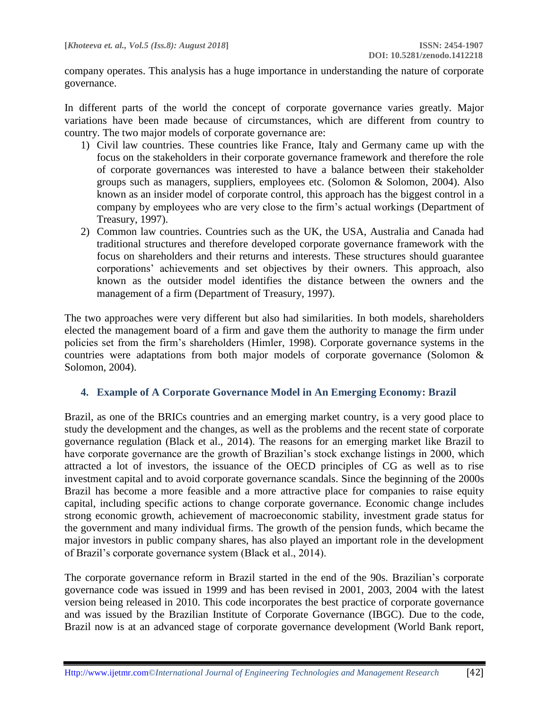company operates. This analysis has a huge importance in understanding the nature of corporate governance.

In different parts of the world the concept of corporate governance varies greatly. Major variations have been made because of circumstances, which are different from country to country. The two major models of corporate governance are:

- 1) Civil law countries. These countries like France, Italy and Germany came up with the focus on the stakeholders in their corporate governance framework and therefore the role of corporate governances was interested to have a balance between their stakeholder groups such as managers, suppliers, employees etc. (Solomon & Solomon, 2004). Also known as an insider model of corporate control, this approach has the biggest control in a company by employees who are very close to the firm's actual workings (Department of Treasury, 1997).
- 2) Common law countries. Countries such as the UK, the USA, Australia and Canada had traditional structures and therefore developed corporate governance framework with the focus on shareholders and their returns and interests. These structures should guarantee corporations' achievements and set objectives by their owners. This approach, also known as the outsider model identifies the distance between the owners and the management of a firm (Department of Treasury, 1997).

The two approaches were very different but also had similarities. In both models, shareholders elected the management board of a firm and gave them the authority to manage the firm under policies set from the firm's shareholders (Himler, 1998). Corporate governance systems in the countries were adaptations from both major models of corporate governance (Solomon & Solomon, 2004).

#### **4. Example of A Corporate Governance Model in An Emerging Economy: Brazil**

Brazil, as one of the BRICs countries and an emerging market country, is a very good place to study the development and the changes, as well as the problems and the recent state of corporate governance regulation (Black et al., 2014). The reasons for an emerging market like Brazil to have corporate governance are the growth of Brazilian's stock exchange listings in 2000, which attracted a lot of investors, the issuance of the OECD principles of CG as well as to rise investment capital and to avoid corporate governance scandals. Since the beginning of the 2000s Brazil has become a more feasible and a more attractive place for companies to raise equity capital, including specific actions to change corporate governance. Economic change includes strong economic growth, achievement of macroeconomic stability, investment grade status for the government and many individual firms. The growth of the pension funds, which became the major investors in public company shares, has also played an important role in the development of Brazil's corporate governance system (Black et al., 2014).

The corporate governance reform in Brazil started in the end of the 90s. Brazilian's corporate governance code was issued in 1999 and has been revised in 2001, 2003, 2004 with the latest version being released in 2010. This code incorporates the best practice of corporate governance and was issued by the Brazilian Institute of Corporate Governance (IBGC). Due to the code, Brazil now is at an advanced stage of corporate governance development (World Bank report,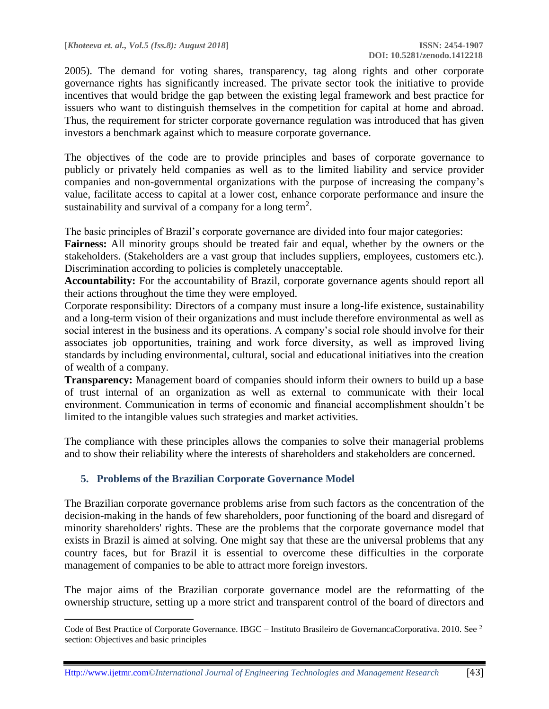2005). The demand for voting shares, transparency, tag along rights and other corporate governance rights has significantly increased. The private sector took the initiative to provide incentives that would bridge the gap between the existing legal framework and best practice for issuers who want to distinguish themselves in the competition for capital at home and abroad. Thus, the requirement for stricter corporate governance regulation was introduced that has given investors a benchmark against which to measure corporate governance.

The objectives of the code are to provide principles and bases of corporate governance to publicly or privately held companies as well as to the limited liability and service provider companies and non-governmental organizations with the purpose of increasing the company's value, facilitate access to capital at a lower cost, enhance corporate performance and insure the sustainability and survival of a company for a long term<sup>2</sup>.

The basic principles of Brazil's corporate governance are divided into four major categories:

**Fairness:** All minority groups should be treated fair and equal, whether by the owners or the stakeholders. (Stakeholders are a vast group that includes suppliers, employees, customers etc.). Discrimination according to policies is completely unacceptable.

**Accountability:** For the accountability of Brazil, corporate governance agents should report all their actions throughout the time they were employed.

Corporate responsibility: Directors of a company must insure a long-life existence, sustainability and a long-term vision of their organizations and must include therefore environmental as well as social interest in the business and its operations. A company's social role should involve for their associates job opportunities, training and work force diversity, as well as improved living standards by including environmental, cultural, social and educational initiatives into the creation of wealth of a company.

**Transparency:** Management board of companies should inform their owners to build up a base of trust internal of an organization as well as external to communicate with their local environment. Communication in terms of economic and financial accomplishment shouldn't be limited to the intangible values such strategies and market activities.

The compliance with these principles allows the companies to solve their managerial problems and to show their reliability where the interests of shareholders and stakeholders are concerned.

## **5. Problems of the Brazilian Corporate Governance Model**

 $\overline{a}$ 

The Brazilian corporate governance problems arise from such factors as the concentration of the decision-making in the hands of few shareholders, poor functioning of the board and disregard of minority shareholders' rights. These are the problems that the corporate governance model that exists in Brazil is aimed at solving. One might say that these are the universal problems that any country faces, but for Brazil it is essential to overcome these difficulties in the corporate management of companies to be able to attract more foreign investors.

The major aims of the Brazilian corporate governance model are the reformatting of the ownership structure, setting up a more strict and transparent control of the board of directors and

<sup>2</sup> Code of Best Practice of Corporate Governance. IBGC – Instituto Brasileiro de GovernancaCorporativa. 2010. See section: Objectives and basic principles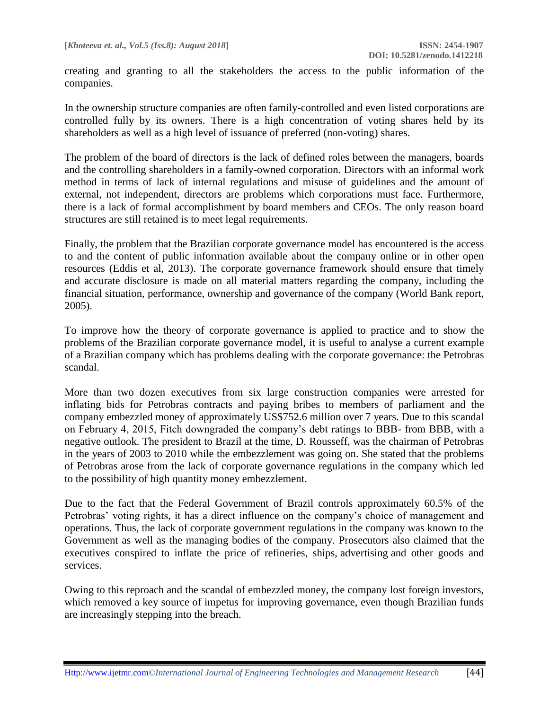creating and granting to all the stakeholders the access to the public information of the companies.

In the ownership structure companies are often family-controlled and even listed corporations are controlled fully by its owners. There is a high concentration of voting shares held by its shareholders as well as a high level of issuance of preferred (non-voting) shares.

The problem of the board of directors is the lack of defined roles between the managers, boards and the controlling shareholders in a family-owned corporation. Directors with an informal work method in terms of lack of internal regulations and misuse of guidelines and the amount of external, not independent, directors are problems which corporations must face. Furthermore, there is a lack of formal accomplishment by board members and CEOs. The only reason board structures are still retained is to meet legal requirements.

Finally, the problem that the Brazilian corporate governance model has encountered is the access to and the content of public information available about the company online or in other open resources (Eddis et al, 2013). The corporate governance framework should ensure that timely and accurate disclosure is made on all material matters regarding the company, including the financial situation, performance, ownership and governance of the company (World Bank report, 2005).

To improve how the theory of corporate governance is applied to practice and to show the problems of the Brazilian corporate governance model, it is useful to analyse a current example of a Brazilian company which has problems dealing with the corporate governance: the Petrobras scandal.

More than two dozen executives from six large construction companies were arrested for inflating bids for Petrobras contracts and paying bribes to members of parliament and the company embezzled money of approximately US\$752.6 million over 7 years. Due to this scandal on February 4, 2015, Fitch downgraded the company's debt ratings to BBB- from BBB, with a negative outlook. The president to Brazil at the time, D. Rousseff, was the chairman of Petrobras in the years of 2003 to 2010 while the embezzlement was going on. She stated that the problems of Petrobras arose from the lack of corporate governance regulations in the company which led to the possibility of high quantity money embezzlement.

Due to the fact that the Federal Government of Brazil controls approximately 60.5% of the Petrobras' voting rights, it has a direct influence on the company's choice of management and operations. Thus, the lack of corporate government regulations in the company was known to the Government as well as the managing bodies of the company. Prosecutors also claimed that the executives conspired to inflate the price of refineries, ships, advertising and other goods and services.

Owing to this reproach and the scandal of embezzled money, the company lost foreign investors, which removed a key source of impetus for improving governance, even though Brazilian funds are increasingly stepping into the breach.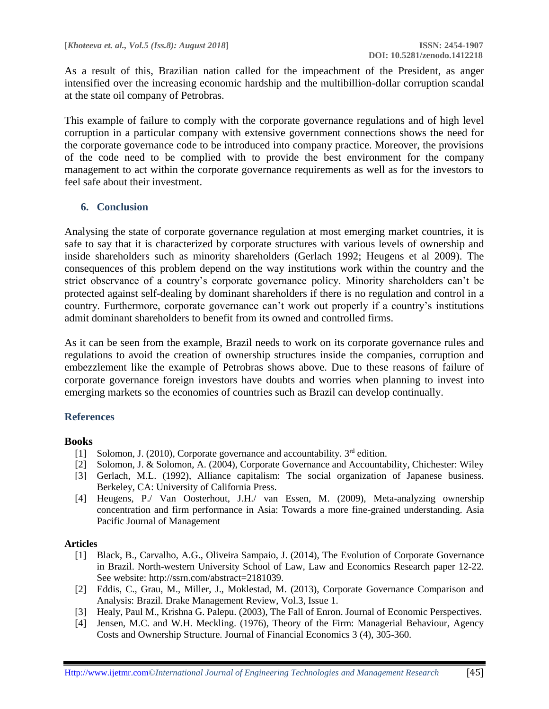As a result of this, Brazilian nation called for the impeachment of the President, as anger intensified over the increasing economic hardship and the multibillion-dollar corruption scandal at the state oil company of Petrobras.

This example of failure to comply with the corporate governance regulations and of high level corruption in a particular company with extensive government connections shows the need for the corporate governance code to be introduced into company practice. Moreover, the provisions of the code need to be complied with to provide the best environment for the company management to act within the corporate governance requirements as well as for the investors to feel safe about their investment.

# **6. Conclusion**

Analysing the state of corporate governance regulation at most emerging market countries, it is safe to say that it is characterized by corporate structures with various levels of ownership and inside shareholders such as minority shareholders (Gerlach 1992; Heugens et al 2009). The consequences of this problem depend on the way institutions work within the country and the strict observance of a country's corporate governance policy. Minority shareholders can't be protected against self-dealing by dominant shareholders if there is no regulation and control in a country. Furthermore, corporate governance can't work out properly if a country's institutions admit dominant shareholders to benefit from its owned and controlled firms.

As it can be seen from the example, Brazil needs to work on its corporate governance rules and regulations to avoid the creation of ownership structures inside the companies, corruption and embezzlement like the example of Petrobras shows above. Due to these reasons of failure of corporate governance foreign investors have doubts and worries when planning to invest into emerging markets so the economies of countries such as Brazil can develop continually.

## **References**

## **Books**

- [1] Solomon, J. (2010), Corporate governance and accountability. 3<sup>rd</sup> edition.
- [2] Solomon, J. & Solomon, A. (2004), Corporate Governance and Accountability, Chichester: Wiley
- [3] Gerlach, M.L. (1992), Alliance capitalism: The social organization of Japanese business. Berkeley, CA: University of California Press.
- [4] Heugens, P./ Van Oosterhout, J.H./ van Essen, M. (2009), Meta-analyzing ownership concentration and firm performance in Asia: Towards a more fine-grained understanding. Asia Pacific Journal of Management

#### **Articles**

- [1] Black, B., Carvalho, A.G., Oliveira Sampaio, J. (2014), The Evolution of Corporate Governance in Brazil. North-western University School of Law, Law and Economics Research paper 12-22. See website: http://ssrn.com/abstract=2181039.
- [2] Eddis, C., Grau, M., Miller, J., Moklestad, M. (2013), Corporate Governance Comparison and Analysis: Brazil. Drake Management Review, Vol.3, Issue 1.
- [3] Healy, Paul M., Krishna G. Palepu. (2003), The Fall of Enron. Journal of Economic Perspectives.
- [4] Jensen, M.C. and W.H. Meckling. (1976), Theory of the Firm: Managerial Behaviour, Agency Costs and Ownership Structure. Journal of Financial Economics 3 (4), 305-360.